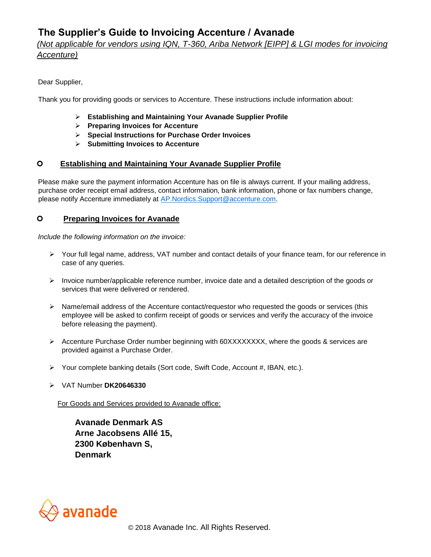# **The Supplier's Guide to Invoicing Accenture / Avanade**

## *(Not applicable for vendors using IQN, T-360, Ariba Network [EIPP] & LGI modes for invoicing Accenture)*

Dear Supplier,

Thank you for providing goods or services to Accenture. These instructions include information about:

- ➢ **Establishing and Maintaining Your Avanade Supplier Profile**
- ➢ **Preparing Invoices for Accenture**
- ➢ **Special Instructions for Purchase Order Invoices**
- ➢ **Submitting Invoices to Accenture**

## **Establishing and Maintaining Your Avanade Supplier Profile**

Please make sure the payment information Accenture has on file is always current. If your mailing address, purchase order receipt email address, contact information, bank information, phone or fax numbers change, please notify Accenture immediately at AP.Nordics.Support@accenture.com.

## **Preparing Invoices for Avanade**

*Include the following information on the invoice:* 

- ➢ Your full legal name, address, VAT number and contact details of your finance team, for our reference in case of any queries.
- ➢ Invoice number/applicable reference number, invoice date and a detailed description of the goods or services that were delivered or rendered.
- $\triangleright$  Name/email address of the Accenture contact/requestor who requested the goods or services (this employee will be asked to confirm receipt of goods or services and verify the accuracy of the invoice before releasing the payment).
- ➢ Accenture Purchase Order number beginning with 60XXXXXXXX, where the goods & services are provided against a Purchase Order.
- ➢ Your complete banking details (Sort code, Swift Code, Account #, IBAN, etc.).
- ➢ VAT Number **DK20646330**

For Goods and Services provided to Avanade office:

**Avanade Denmark AS Arne Jacobsens Allé 15, 2300 København S, Denmark**

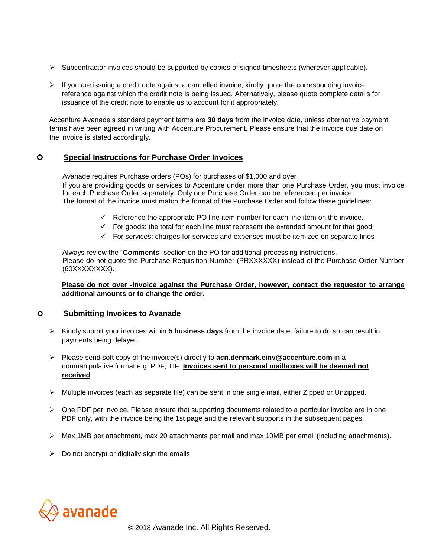- $\triangleright$  Subcontractor invoices should be supported by copies of signed timesheets (wherever applicable).
- $\triangleright$  If you are issuing a credit note against a cancelled invoice, kindly quote the corresponding invoice reference against which the credit note is being issued. Alternatively, please quote complete details for issuance of the credit note to enable us to account for it appropriately.

Accenture Avanade's standard payment terms are **30 days** from the invoice date, unless alternative payment terms have been agreed in writing with Accenture Procurement. Please ensure that the invoice due date on the invoice is stated accordingly.

## **Special Instructions for Purchase Order Invoices**

Avanade requires Purchase orders (POs) for purchases of \$1,000 and over If you are providing goods or services to Accenture under more than one Purchase Order, you must invoice for each Purchase Order separately. Only one Purchase Order can be referenced per invoice. The format of the invoice must match the format of the Purchase Order and follow these guidelines:

- $\checkmark$  Reference the appropriate PO line item number for each line item on the invoice.
- $\checkmark$  For goods: the total for each line must represent the extended amount for that good.
- ✓ For services: charges for services and expenses must be itemized on separate lines

Always review the "**Comments**" section on the PO for additional processing instructions. Please do not quote the Purchase Requisition Number (PRXXXXXX) instead of the Purchase Order Number (60XXXXXXXX).

#### **Please do not over -invoice against the Purchase Order, however, contact the requestor to arrange additional amounts or to change the order.**

#### **Submitting Invoices to Avanade**

- ➢ Kindly submit your invoices within **5 business days** from the invoice date; failure to do so can result in payments being delayed.
- ➢ Please send soft copy of the invoice(s) directly to **acn.denmark.einv@accenture.com** in a nonmanipulative format e.g. PDF, TIF. **Invoices sent to personal mailboxes will be deemed not received**.
- ➢ Multiple invoices (each as separate file) can be sent in one single mail, either Zipped or Unzipped.
- $\triangleright$  One PDF per invoice. Please ensure that supporting documents related to a particular invoice are in one PDF only, with the invoice being the 1st page and the relevant supports in the subsequent pages.
- ➢ Max 1MB per attachment, max 20 attachments per mail and max 10MB per email (including attachments).
- $\triangleright$  Do not encrypt or digitally sign the emails.